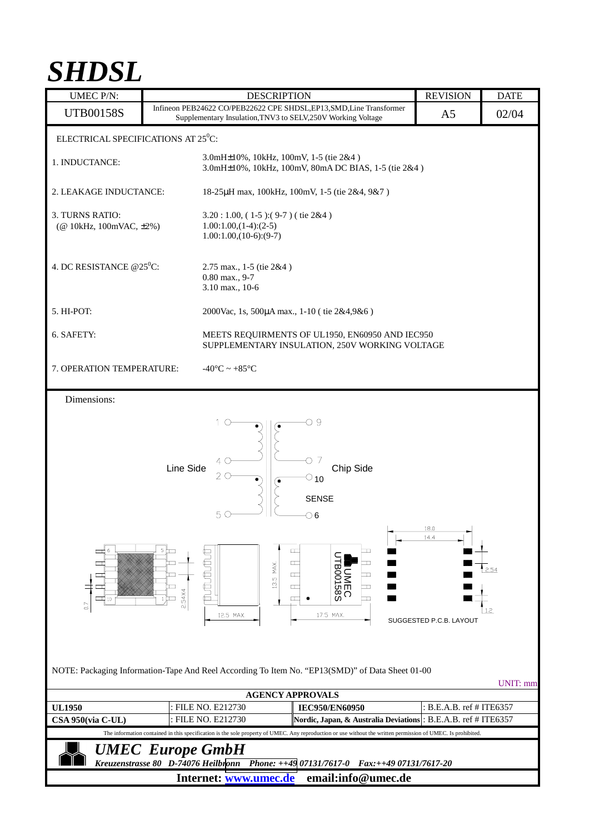## *SHDSL*

| <b>UMEC P/N:</b>                                                                                                                                             |                                                           | <b>DESCRIPTION</b>                                                                                |                                                                                                                                                                                     |  | <b>REVISION</b>                         | <b>DATE</b>              |
|--------------------------------------------------------------------------------------------------------------------------------------------------------------|-----------------------------------------------------------|---------------------------------------------------------------------------------------------------|-------------------------------------------------------------------------------------------------------------------------------------------------------------------------------------|--|-----------------------------------------|--------------------------|
| <b>UTB00158S</b>                                                                                                                                             |                                                           | Supplementary Insulation, TNV3 to SELV, 250V Working Voltage                                      | Infineon PEB24622 CO/PEB22622 CPE SHDSL, EP13, SMD, Line Transformer                                                                                                                |  | A <sub>5</sub>                          | 02/04                    |
| ELECTRICAL SPECIFICATIONS AT 25 <sup>0</sup> C:                                                                                                              |                                                           |                                                                                                   |                                                                                                                                                                                     |  |                                         |                          |
| 1. INDUCTANCE:                                                                                                                                               |                                                           | 3.0mH±10%, 10kHz, 100mV, 1-5 (tie 2&4)<br>3.0mH±10%, 10kHz, 100mV, 80mA DC BIAS, 1-5 (tie 2&4)    |                                                                                                                                                                                     |  |                                         |                          |
| 2. LEAKAGE INDUCTANCE:                                                                                                                                       |                                                           | 18-25µH max, 100kHz, 100mV, 1-5 (tie 2&4, 9&7)                                                    |                                                                                                                                                                                     |  |                                         |                          |
| 3. TURNS RATIO:<br>(@ 10kHz, 100mVAC, ±2%)                                                                                                                   |                                                           | $3.20:1.00$ , $(1-5):(9-7)$ (tie 2&4)<br>$1.00:1.00,(1-4):(2-5)$<br>$1.00:1.00,(10-6):(9-7)$      |                                                                                                                                                                                     |  |                                         |                          |
| 4. DC RESISTANCE $@25\textdegree$ C:                                                                                                                         |                                                           | 2.75 max., 1-5 (tie 2&4)<br>$0.80$ max., $9-7$<br>3.10 max., 10-6                                 |                                                                                                                                                                                     |  |                                         |                          |
| 5. HI-POT:                                                                                                                                                   |                                                           | 2000Vac, 1s, 500μA max., 1-10 (tie 2&4,9&6)                                                       |                                                                                                                                                                                     |  |                                         |                          |
| 6. SAFETY:                                                                                                                                                   |                                                           | MEETS REQUIRMENTS OF UL1950, EN60950 AND IEC950<br>SUPPLEMENTARY INSULATION, 250V WORKING VOLTAGE |                                                                                                                                                                                     |  |                                         |                          |
| 7. OPERATION TEMPERATURE:                                                                                                                                    |                                                           | $-40^{\circ}$ C ~ $+85^{\circ}$ C                                                                 |                                                                                                                                                                                     |  |                                         |                          |
| Dimensions:                                                                                                                                                  |                                                           |                                                                                                   |                                                                                                                                                                                     |  |                                         |                          |
| 6<br>œ<br>┌─┬<br>Ē<br>□ 10<br>$\overline{0}$                                                                                                                 | Line Side<br>$5\pm$<br>┯<br>┳<br>2.54X4<br>$1 \mathbb{H}$ | 10<br>4C<br>20<br>5 (<br><b>f</b><br>Boff<br>13.5 MAX.<br>12.5 MAX.                               | О9<br>7<br>Chip Side<br>$\circ$ 10<br><b>SENSE</b><br>$\circ$ 6<br>$\Box$<br>H<br>$\Box$<br>E<br><b>LUMEC<br/>BOO158S</b><br>$\Box$<br>T<br>$\Box$<br>$\Box$<br>ᄆ<br>T<br>17.5 MAX. |  | 18.0<br>14.4<br>SUGGESTED P.C.B. LAYOUT | 2.54<br>1.2 <sub>2</sub> |
| NOTE: Packaging Information-Tape And Reel According To Item No. "EP13(SMD)" of Data Sheet 01-00<br><b>UNIT:</b> mm                                           |                                                           |                                                                                                   |                                                                                                                                                                                     |  |                                         |                          |
| <b>AGENCY APPROVALS</b>                                                                                                                                      |                                                           |                                                                                                   |                                                                                                                                                                                     |  |                                         |                          |
| <b>UL1950</b>                                                                                                                                                |                                                           | : FILE NO. E212730                                                                                | <b>IEC950/EN60950</b>                                                                                                                                                               |  | B.E.A.B. ref # ITE6357                  |                          |
| CSA 950(via C-UL)                                                                                                                                            |                                                           | FILE NO. E212730                                                                                  | Nordic, Japan, & Australia Deviations : B.E.A.B. ref # ITE6357                                                                                                                      |  |                                         |                          |
| The information contained in this specification is the sole property of UMEC. Any reproduction or use without the written permission of UMEC. Is prohibited. |                                                           |                                                                                                   |                                                                                                                                                                                     |  |                                         |                          |
| <b>UMEC</b> Europe GmbH<br>Kreuzenstrasse 80 D-74076 Heilbronn Phone: ++49 07131/7617-0 Fax:++49 07131/7617-20                                               |                                                           |                                                                                                   |                                                                                                                                                                                     |  |                                         |                          |
| email:info@umec.de<br>Internet: www.umec.de                                                                                                                  |                                                           |                                                                                                   |                                                                                                                                                                                     |  |                                         |                          |